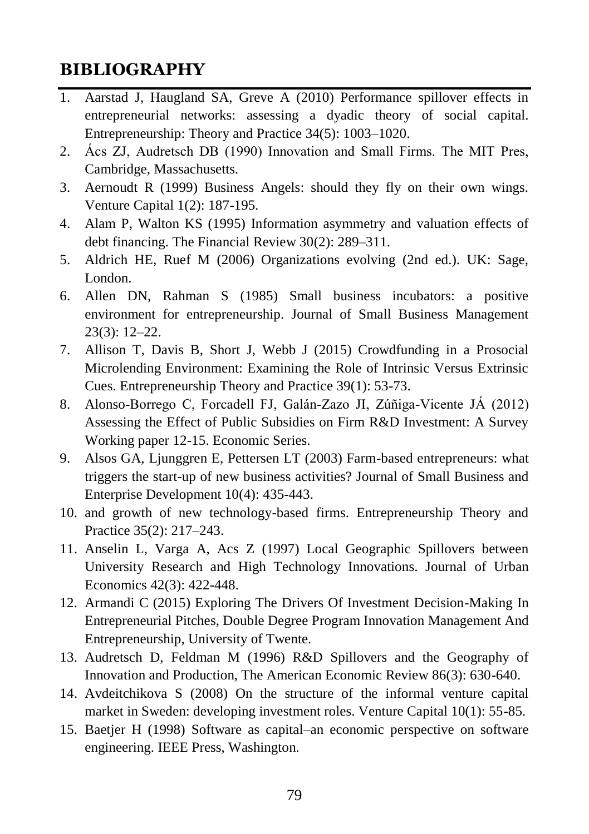## **BIBLIOGRAPHY**

- 1. Aarstad J, Haugland SA, Greve A (2010) Performance spillover effects in entrepreneurial networks: assessing a dyadic theory of social capital. Entrepreneurship: Theory and Practice 34(5): 1003–1020.
- 2. Ács ZJ, Audretsch DB (1990) Innovation and Small Firms. The MIT Pres, Cambridge, Massachusetts.
- 3. Aernoudt R (1999) Business Angels: should they fly on their own wings. Venture Capital 1(2): 187-195.
- 4. Alam P, Walton KS (1995) Information asymmetry and valuation effects of debt financing. The Financial Review 30(2): 289–311.
- 5. Aldrich HE, Ruef M (2006) Organizations evolving (2nd ed.). UK: Sage, London.
- 6. Allen DN, Rahman S (1985) Small business incubators: a positive environment for entrepreneurship. Journal of Small Business Management 23(3): 12–22.
- 7. Allison T, Davis B, Short J, Webb J (2015) Crowdfunding in a Prosocial Microlending Environment: Examining the Role of Intrinsic Versus Extrinsic Cues. Entrepreneurship Theory and Practice 39(1): 53-73.
- 8. Alonso-Borrego C, Forcadell FJ, Galán-Zazo JI, Zúñiga-Vicente JÁ (2012) Assessing the Effect of Public Subsidies on Firm R&D Investment: A Survey Working paper 12-15. Economic Series.
- 9. Alsos GA, Ljunggren E, Pettersen LT (2003) Farm-based entrepreneurs: what triggers the start-up of new business activities? Journal of Small Business and Enterprise Development 10(4): 435-443.
- 10. and growth of new technology-based firms. Entrepreneurship Theory and Practice 35(2): 217–243.
- 11. Anselin L, Varga A, Acs Z (1997) Local Geographic Spillovers between University Research and High Technology Innovations. Journal of Urban Economics 42(3): 422-448.
- 12. Armandi C (2015) Exploring The Drivers Of Investment Decision-Making In Entrepreneurial Pitches, Double Degree Program Innovation Management And Entrepreneurship, University of Twente.
- 13. Audretsch D, Feldman M (1996) R&D Spillovers and the Geography of Innovation and Production, The American Economic Review 86(3): 630-640.
- 14. Avdeitchikova S (2008) On the structure of the informal venture capital market in Sweden: developing investment roles. Venture Capital 10(1): 55-85.
- 15. Baetjer H (1998) Software as capital–an economic perspective on software engineering. IEEE Press, Washington.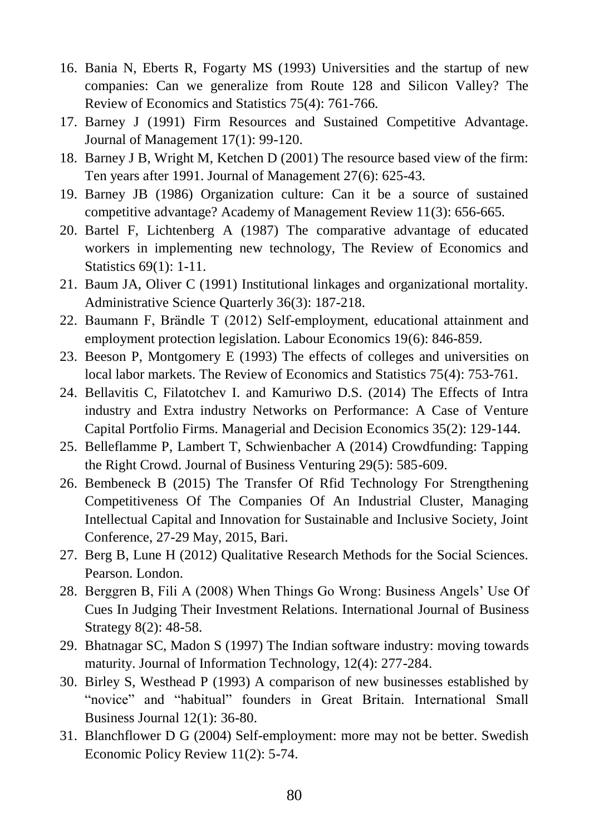- 16. Bania N, Eberts R, Fogarty MS (1993) Universities and the startup of new companies: Can we generalize from Route 128 and Silicon Valley? The Review of Economics and Statistics 75(4): 761-766.
- 17. Barney J (1991) Firm Resources and Sustained Competitive Advantage. Journal of Management 17(1): 99-120.
- 18. Barney J B, Wright M, Ketchen D (2001) The resource based view of the firm: Ten years after 1991. Journal of Management 27(6): 625-43.
- 19. Barney JB (1986) Organization culture: Can it be a source of sustained competitive advantage? Academy of Management Review 11(3): 656-665.
- 20. Bartel F, Lichtenberg A (1987) The comparative advantage of educated workers in implementing new technology, The Review of Economics and Statistics 69(1): 1-11.
- 21. Baum JA, Oliver C (1991) Institutional linkages and organizational mortality. Administrative Science Quarterly 36(3): 187-218.
- 22. Baumann F, Brändle T (2012) Self-employment, educational attainment and employment protection legislation. Labour Economics 19(6): 846-859.
- 23. Beeson P, Montgomery E (1993) The effects of colleges and universities on local labor markets. The Review of Economics and Statistics 75(4): 753-761.
- 24. Bellavitis C, Filatotchev I. and Kamuriwo D.S. (2014) The Effects of Intra industry and Extra industry Networks on Performance: A Case of Venture Capital Portfolio Firms. Managerial and Decision Economics 35(2): 129-144.
- 25. Belleflamme P, Lambert T, Schwienbacher A (2014) Crowdfunding: Tapping the Right Crowd. Journal of Business Venturing 29(5): 585-609.
- 26. Bembeneck B (2015) The Transfer Of Rfid Technology For Strengthening Competitiveness Of The Companies Of An Industrial Cluster, Managing Intellectual Capital and Innovation for Sustainable and Inclusive Society, Joint Conference, 27-29 May, 2015, Bari.
- 27. Berg B, Lune H (2012) Qualitative Research Methods for the Social Sciences. Pearson. London.
- 28. Berggren B, Fili A (2008) When Things Go Wrong: Business Angels' Use Of Cues In Judging Their Investment Relations. International Journal of Business Strategy 8(2): 48-58.
- 29. Bhatnagar SC, Madon S (1997) The Indian software industry: moving towards maturity. Journal of Information Technology, 12(4): 277-284.
- 30. Birley S, Westhead P (1993) A comparison of new businesses established by "novice" and "habitual" founders in Great Britain. International Small Business Journal 12(1): 36-80.
- 31. Blanchflower D G (2004) Self-employment: more may not be better. Swedish Economic Policy Review 11(2): 5-74.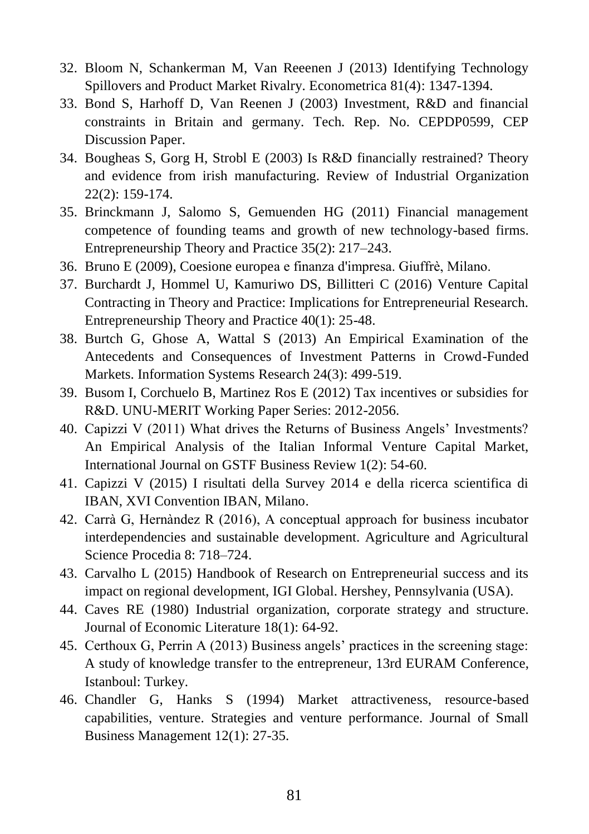- 32. Bloom N, Schankerman M, Van Reeenen J (2013) Identifying Technology Spillovers and Product Market Rivalry. Econometrica 81(4): 1347-1394.
- 33. Bond S, Harhoff D, Van Reenen J (2003) Investment, R&D and financial constraints in Britain and germany. Tech. Rep. No. CEPDP0599, CEP Discussion Paper.
- 34. Bougheas S, Gorg H, Strobl E (2003) Is R&D financially restrained? Theory and evidence from irish manufacturing. Review of Industrial Organization 22(2): 159-174.
- 35. Brinckmann J, Salomo S, Gemuenden HG (2011) Financial management competence of founding teams and growth of new technology-based firms. Entrepreneurship Theory and Practice 35(2): 217–243.
- 36. Bruno E (2009), Coesione europea e finanza d'impresa. Giuffrè, Milano.
- 37. Burchardt J, Hommel U, Kamuriwo DS, Billitteri C (2016) Venture Capital Contracting in Theory and Practice: Implications for Entrepreneurial Research. Entrepreneurship Theory and Practice 40(1): 25-48.
- 38. Burtch G, Ghose A, Wattal S (2013) An Empirical Examination of the Antecedents and Consequences of Investment Patterns in Crowd-Funded Markets. Information Systems Research 24(3): 499-519.
- 39. Busom I, Corchuelo B, Martinez Ros E (2012) Tax incentives or subsidies for R&D. UNU-MERIT Working Paper Series: 2012-2056.
- 40. Capizzi V (2011) What drives the Returns of Business Angels' Investments? An Empirical Analysis of the Italian Informal Venture Capital Market, International Journal on GSTF Business Review 1(2): 54-60.
- 41. Capizzi V (2015) I risultati della Survey 2014 e della ricerca scientifica di IBAN, XVI Convention IBAN, Milano.
- 42. Carrà G, Hernàndez R (2016), A conceptual approach for business incubator interdependencies and sustainable development. Agriculture and Agricultural Science Procedia 8: 718–724.
- 43. Carvalho L (2015) Handbook of Research on Entrepreneurial success and its impact on regional development, IGI Global. Hershey, Pennsylvania (USA).
- 44. Caves RE (1980) Industrial organization, corporate strategy and structure. Journal of Economic Literature 18(1): 64-92.
- 45. Certhoux G, Perrin A (2013) Business angels' practices in the screening stage: A study of knowledge transfer to the entrepreneur, 13rd EURAM Conference, Istanboul: Turkey.
- 46. Chandler G, Hanks S (1994) Market attractiveness, resource-based capabilities, venture. Strategies and venture performance. Journal of Small Business Management 12(1): 27-35.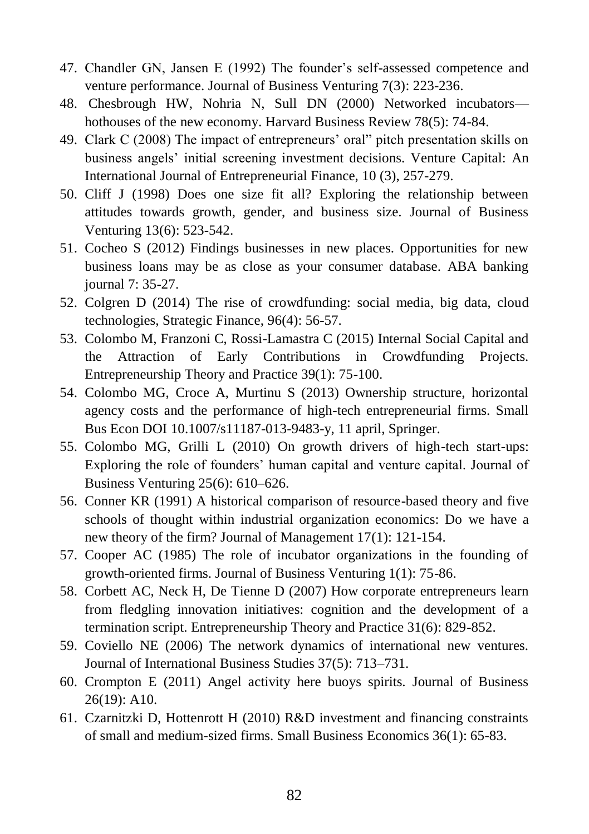- 47. Chandler GN, Jansen E (1992) The founder's self-assessed competence and venture performance. Journal of Business Venturing 7(3): 223-236.
- 48. Chesbrough HW, Nohria N, Sull DN (2000) Networked incubators hothouses of the new economy. Harvard Business Review 78(5): 74-84.
- 49. Clark C (2008) The impact of entrepreneurs' oral" pitch presentation skills on business angels' initial screening investment decisions. Venture Capital: An International Journal of Entrepreneurial Finance, 10 (3), 257-279.
- 50. Cliff J (1998) Does one size fit all? Exploring the relationship between attitudes towards growth, gender, and business size. Journal of Business Venturing 13(6): 523-542.
- 51. Cocheo S (2012) Findings businesses in new places. Opportunities for new business loans may be as close as your consumer database. ABA banking journal 7: 35-27.
- 52. Colgren D (2014) The rise of crowdfunding: social media, big data, cloud technologies, Strategic Finance, 96(4): 56-57.
- 53. Colombo M, Franzoni C, Rossi-Lamastra C (2015) Internal Social Capital and the Attraction of Early Contributions in Crowdfunding Projects. Entrepreneurship Theory and Practice 39(1): 75-100.
- 54. Colombo MG, Croce A, Murtinu S (2013) Ownership structure, horizontal agency costs and the performance of high-tech entrepreneurial firms. Small Bus Econ DOI 10.1007/s11187-013-9483-y, 11 april, Springer.
- 55. Colombo MG, Grilli L (2010) On growth drivers of high-tech start-ups: Exploring the role of founders' human capital and venture capital. Journal of Business Venturing 25(6): 610–626.
- 56. Conner KR (1991) A historical comparison of resource-based theory and five schools of thought within industrial organization economics: Do we have a new theory of the firm? Journal of Management 17(1): 121-154.
- 57. Cooper AC (1985) The role of incubator organizations in the founding of growth-oriented firms. Journal of Business Venturing 1(1): 75-86.
- 58. Corbett AC, Neck H, De Tienne D (2007) How corporate entrepreneurs learn from fledgling innovation initiatives: cognition and the development of a termination script. Entrepreneurship Theory and Practice 31(6): 829-852.
- 59. Coviello NE (2006) The network dynamics of international new ventures. Journal of International Business Studies 37(5): 713–731.
- 60. Crompton E (2011) Angel activity here buoys spirits. Journal of Business 26(19): A10.
- 61. Czarnitzki D, Hottenrott H (2010) R&D investment and financing constraints of small and medium-sized firms. Small Business Economics 36(1): 65-83.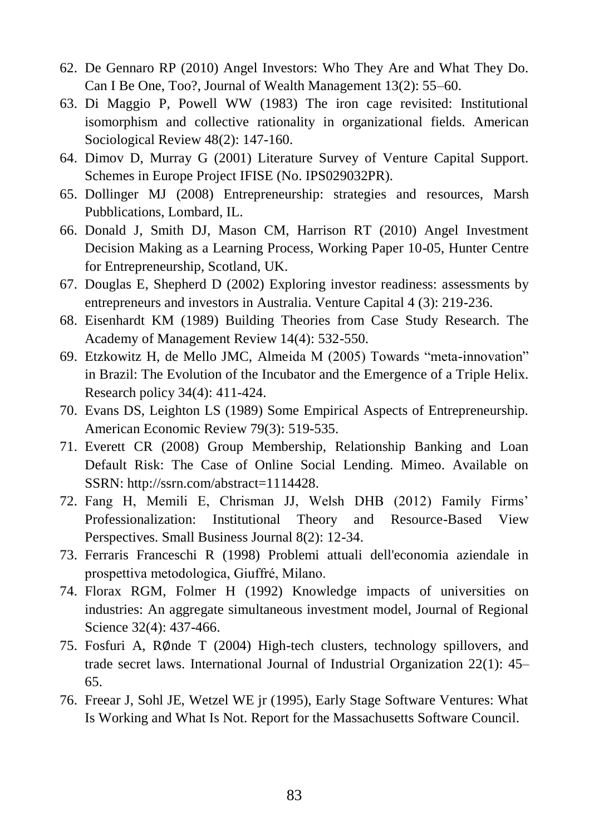- 62. De Gennaro RP (2010) Angel Investors: Who They Are and What They Do. Can I Be One, Too?, Journal of Wealth Management 13(2): 55–60.
- 63. Di Maggio P, Powell WW (1983) The iron cage revisited: Institutional isomorphism and collective rationality in organizational fields. American Sociological Review 48(2): 147-160.
- 64. Dimov D, Murray G (2001) Literature Survey of Venture Capital Support. Schemes in Europe Project IFISE (No. IPS029032PR).
- 65. Dollinger MJ (2008) Entrepreneurship: strategies and resources, Marsh Pubblications, Lombard, IL.
- 66. Donald J, Smith DJ, Mason CM, Harrison RT (2010) Angel Investment Decision Making as a Learning Process, Working Paper 10-05, Hunter Centre for Entrepreneurship, Scotland, UK.
- 67. Douglas E, Shepherd D (2002) Exploring investor readiness: assessments by entrepreneurs and investors in Australia. Venture Capital 4 (3): 219-236.
- 68. Eisenhardt KM (1989) Building Theories from Case Study Research. The Academy of Management Review 14(4): 532-550.
- 69. Etzkowitz H, de Mello JMC, Almeida M (2005) Towards "meta-innovation" in Brazil: The Evolution of the Incubator and the Emergence of a Triple Helix. Research policy 34(4): 411-424.
- 70. Evans DS, Leighton LS (1989) Some Empirical Aspects of Entrepreneurship. American Economic Review 79(3): 519-535.
- 71. Everett CR (2008) Group Membership, Relationship Banking and Loan Default Risk: The Case of Online Social Lending. Mimeo. Available on SSRN: http://ssrn.com/abstract=1114428.
- 72. Fang H, Memili E, Chrisman JJ, Welsh DHB (2012) Family Firms' Professionalization: Institutional Theory and Resource-Based View Perspectives. Small Business Journal 8(2): 12-34.
- 73. Ferraris Franceschi R (1998) Problemi attuali dell'economia aziendale in prospettiva metodologica, Giuffré, Milano.
- 74. Florax RGM, Folmer H (1992) Knowledge impacts of universities on industries: An aggregate simultaneous investment model, Journal of Regional Science 32(4): 437-466.
- 75. Fosfuri A, R∅nde T (2004) High-tech clusters, technology spillovers, and trade secret laws. International Journal of Industrial Organization 22(1): 45– 65.
- 76. Freear J, Sohl JE, Wetzel WE jr (1995), Early Stage Software Ventures: What Is Working and What Is Not. Report for the Massachusetts Software Council.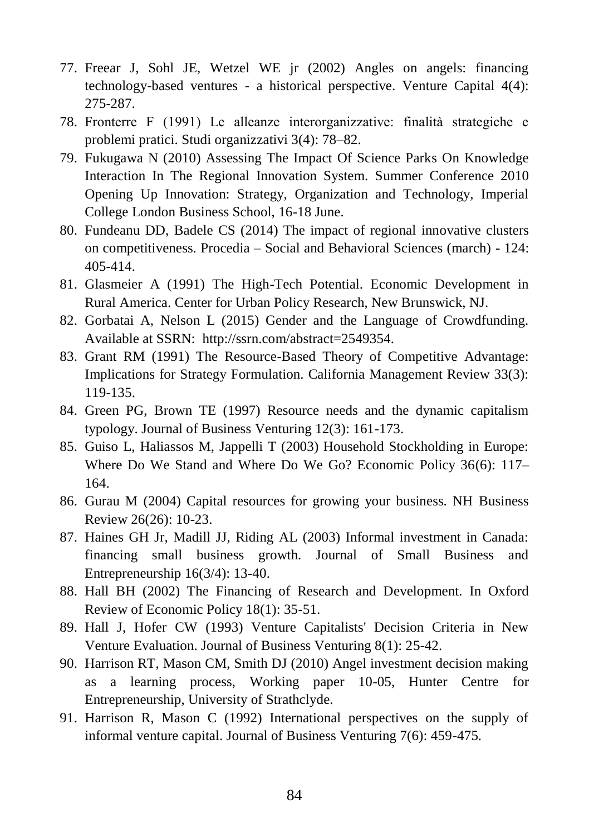- 77. Freear J, Sohl JE, Wetzel WE jr (2002) Angles on angels: financing technology-based ventures - a historical perspective. Venture Capital 4(4): 275-287.
- 78. Fronterre F (1991) Le alleanze interorganizzative: finalità strategiche e problemi pratici. Studi organizzativi 3(4): 78–82.
- 79. Fukugawa N (2010) Assessing The Impact Of Science Parks On Knowledge Interaction In The Regional Innovation System. Summer Conference 2010 Opening Up Innovation: Strategy, Organization and Technology, Imperial College London Business School, 16-18 June.
- 80. Fundeanu DD, Badele CS (2014) The impact of regional innovative clusters on competitiveness. Procedia – Social and Behavioral Sciences (march) - 124: 405-414.
- 81. Glasmeier A (1991) The High-Tech Potential. Economic Development in Rural America. Center for Urban Policy Research, New Brunswick, NJ.
- 82. Gorbatai A, Nelson L (2015) Gender and the Language of Crowdfunding. Available at SSRN: http://ssrn.com/abstract=2549354.
- 83. Grant RM (1991) The Resource-Based Theory of Competitive Advantage: Implications for Strategy Formulation. California Management Review 33(3): 119-135.
- 84. Green PG, Brown TE (1997) Resource needs and the dynamic capitalism typology. Journal of Business Venturing 12(3): 161-173.
- 85. Guiso L, Haliassos M, Jappelli T (2003) Household Stockholding in Europe: Where Do We Stand and Where Do We Go? Economic Policy 36(6): 117– 164.
- 86. Gurau M (2004) Capital resources for growing your business. NH Business Review 26(26): 10-23.
- 87. Haines GH Jr, Madill JJ, Riding AL (2003) Informal investment in Canada: financing small business growth. Journal of Small Business and Entrepreneurship 16(3/4): 13-40.
- 88. Hall BH (2002) The Financing of Research and Development. In Oxford Review of Economic Policy 18(1): 35-51.
- 89. Hall J, Hofer CW (1993) Venture Capitalists' Decision Criteria in New Venture Evaluation. Journal of Business Venturing 8(1): 25-42.
- 90. Harrison RT, Mason CM, Smith DJ (2010) Angel investment decision making as a learning process, Working paper 10-05, Hunter Centre for Entrepreneurship, University of Strathclyde.
- 91. Harrison R, Mason C (1992) International perspectives on the supply of informal venture capital. Journal of Business Venturing 7(6): 459-475.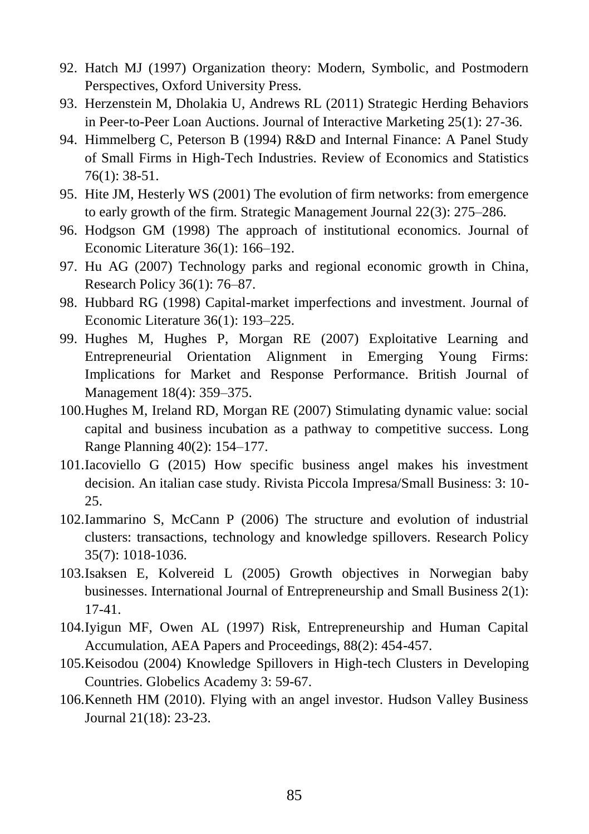- 92. Hatch MJ (1997) Organization theory: Modern, Symbolic, and Postmodern Perspectives, Oxford University Press.
- 93. Herzenstein M, Dholakia U, Andrews RL (2011) Strategic Herding Behaviors in Peer-to-Peer Loan Auctions. Journal of Interactive Marketing 25(1): 27-36.
- 94. Himmelberg C, Peterson B (1994) R&D and Internal Finance: A Panel Study of Small Firms in High-Tech Industries. Review of Economics and Statistics 76(1): 38-51.
- 95. Hite JM, Hesterly WS (2001) The evolution of firm networks: from emergence to early growth of the firm. Strategic Management Journal 22(3): 275–286.
- 96. Hodgson GM (1998) The approach of institutional economics. Journal of Economic Literature 36(1): 166–192.
- 97. Hu AG (2007) Technology parks and regional economic growth in China, Research Policy 36(1): 76–87.
- 98. Hubbard RG (1998) Capital-market imperfections and investment. Journal of Economic Literature 36(1): 193–225.
- 99. Hughes M, Hughes P, Morgan RE (2007) Exploitative Learning and Entrepreneurial Orientation Alignment in Emerging Young Firms: Implications for Market and Response Performance. British Journal of Management 18(4): 359–375.
- 100.Hughes M, Ireland RD, Morgan RE (2007) Stimulating dynamic value: social capital and business incubation as a pathway to competitive success. Long Range Planning 40(2): 154–177.
- 101.Iacoviello G (2015) How specific business angel makes his investment decision. An italian case study. Rivista Piccola Impresa/Small Business: 3: 10- 25.
- 102.Iammarino S, McCann P (2006) The structure and evolution of industrial clusters: transactions, technology and knowledge spillovers. Research Policy 35(7): 1018-1036.
- 103.Isaksen E, Kolvereid L (2005) Growth objectives in Norwegian baby businesses. International Journal of Entrepreneurship and Small Business 2(1): 17-41.
- 104.Iyigun MF, Owen AL (1997) Risk, Entrepreneurship and Human Capital Accumulation, AEA Papers and Proceedings, 88(2): 454-457.
- 105.Keisodou (2004) Knowledge Spillovers in High-tech Clusters in Developing Countries. Globelics Academy 3: 59-67.
- 106.Kenneth HM (2010). Flying with an angel investor. Hudson Valley Business Journal 21(18): 23-23.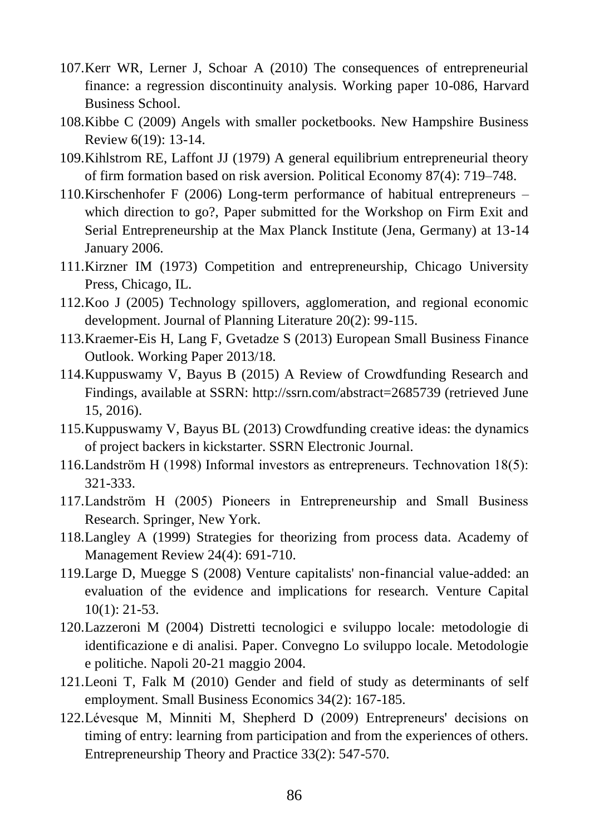- 107.Kerr WR, Lerner J, Schoar A (2010) The consequences of entrepreneurial finance: a regression discontinuity analysis. Working paper 10-086, Harvard Business School.
- 108.Kibbe C (2009) Angels with smaller pocketbooks. New Hampshire Business Review 6(19): 13-14.
- 109.Kihlstrom RE, Laffont JJ (1979) A general equilibrium entrepreneurial theory of firm formation based on risk aversion. Political Economy 87(4): 719–748.
- 110.Kirschenhofer F (2006) Long-term performance of habitual entrepreneurs which direction to go?, Paper submitted for the Workshop on Firm Exit and Serial Entrepreneurship at the Max Planck Institute (Jena, Germany) at 13-14 January 2006.
- 111.Kirzner IM (1973) Competition and entrepreneurship, Chicago University Press, Chicago, IL.
- 112.Koo J (2005) Technology spillovers, agglomeration, and regional economic development. Journal of Planning Literature 20(2): 99-115.
- 113.Kraemer-Eis H, Lang F, Gvetadze S (2013) European Small Business Finance Outlook. Working Paper 2013/18.
- 114.Kuppuswamy V, Bayus B (2015) A Review of Crowdfunding Research and Findings, available at SSRN: http://ssrn.com/abstract=2685739 (retrieved June 15, 2016).
- 115.Kuppuswamy V, Bayus BL (2013) Crowdfunding creative ideas: the dynamics of project backers in kickstarter. SSRN Electronic Journal.
- 116.Landström H (1998) Informal investors as entrepreneurs. Technovation 18(5): 321-333.
- 117.Landström H (2005) Pioneers in Entrepreneurship and Small Business Research. Springer, New York.
- 118.Langley A (1999) Strategies for theorizing from process data. Academy of Management Review 24(4): 691-710.
- 119.Large D, Muegge S (2008) Venture capitalists' non-financial value-added: an evaluation of the evidence and implications for research. Venture Capital 10(1): 21-53.
- 120.Lazzeroni M (2004) Distretti tecnologici e sviluppo locale: metodologie di identificazione e di analisi. Paper. Convegno Lo sviluppo locale. Metodologie e politiche. Napoli 20-21 maggio 2004.
- 121.Leoni T, Falk M (2010) Gender and field of study as determinants of self employment. Small Business Economics 34(2): 167-185.
- 122.Lévesque M, Minniti M, Shepherd D (2009) Entrepreneurs' decisions on timing of entry: learning from participation and from the experiences of others. Entrepreneurship Theory and Practice 33(2): 547-570.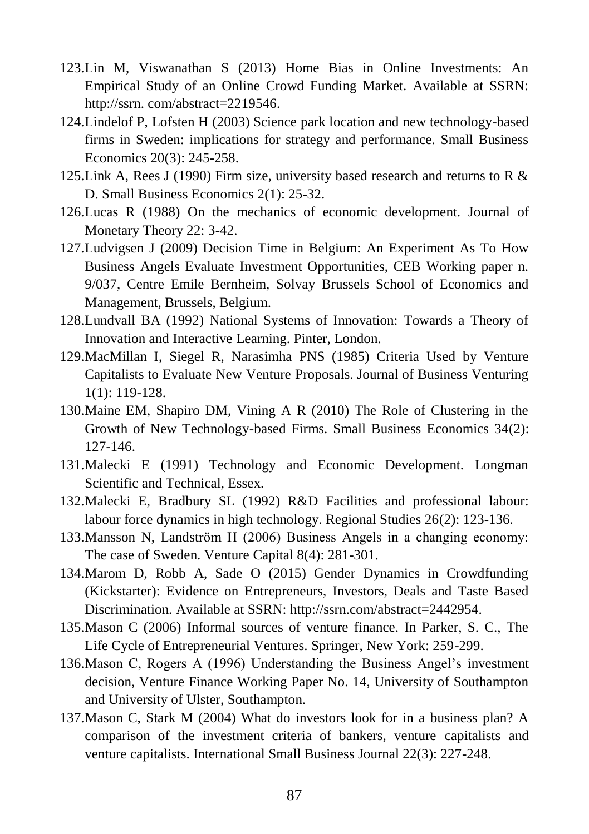- 123.Lin M, Viswanathan S (2013) Home Bias in Online Investments: An Empirical Study of an Online Crowd Funding Market. Available at SSRN: http://ssrn. com/abstract=2219546.
- 124.Lindelof P, Lofsten H (2003) Science park location and new technology-based firms in Sweden: implications for strategy and performance. Small Business Economics 20(3): 245-258.
- 125. Link A, Rees J (1990) Firm size, university based research and returns to R  $\&$ D. Small Business Economics 2(1): 25-32.
- 126.Lucas R (1988) On the mechanics of economic development. Journal of Monetary Theory 22: 3-42.
- 127.Ludvigsen J (2009) Decision Time in Belgium: An Experiment As To How Business Angels Evaluate Investment Opportunities, CEB Working paper n. 9/037, Centre Emile Bernheim, Solvay Brussels School of Economics and Management, Brussels, Belgium.
- 128.Lundvall BA (1992) National Systems of Innovation: Towards a Theory of Innovation and Interactive Learning. Pinter, London.
- 129.MacMillan I, Siegel R, Narasimha PNS (1985) Criteria Used by Venture Capitalists to Evaluate New Venture Proposals. Journal of Business Venturing 1(1): 119-128.
- 130.Maine EM, Shapiro DM, Vining A R (2010) The Role of Clustering in the Growth of New Technology-based Firms. Small Business Economics 34(2): 127-146.
- 131.Malecki E (1991) Technology and Economic Development. Longman Scientific and Technical, Essex.
- 132.Malecki E, Bradbury SL (1992) R&D Facilities and professional labour: labour force dynamics in high technology. Regional Studies 26(2): 123-136.
- 133.Mansson N, Landström H (2006) Business Angels in a changing economy: The case of Sweden. Venture Capital 8(4): 281-301.
- 134.Marom D, Robb A, Sade O (2015) Gender Dynamics in Crowdfunding (Kickstarter): Evidence on Entrepreneurs, Investors, Deals and Taste Based Discrimination. Available at SSRN: http://ssrn.com/abstract=2442954.
- 135.Mason C (2006) Informal sources of venture finance. In Parker, S. C., The Life Cycle of Entrepreneurial Ventures. Springer, New York: 259-299.
- 136.Mason C, Rogers A (1996) Understanding the Business Angel's investment decision, Venture Finance Working Paper No. 14, University of Southampton and University of Ulster, Southampton.
- 137.Mason C, Stark M (2004) What do investors look for in a business plan? A comparison of the investment criteria of bankers, venture capitalists and venture capitalists. International Small Business Journal 22(3): 227-248.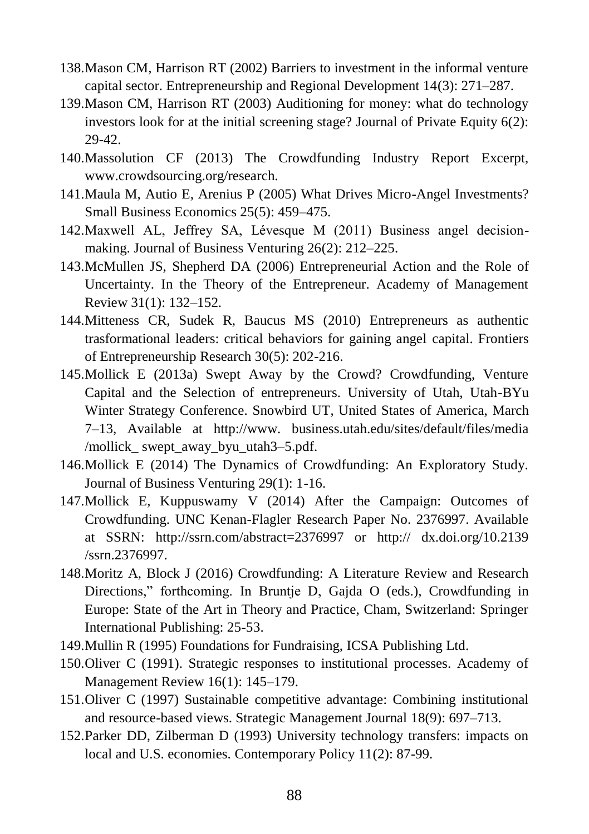- 138.Mason CM, Harrison RT (2002) Barriers to investment in the informal venture capital sector. Entrepreneurship and Regional Development 14(3): 271–287.
- 139.Mason CM, Harrison RT (2003) Auditioning for money: what do technology investors look for at the initial screening stage? Journal of Private Equity  $6(2)$ : 29-42.
- 140.Massolution CF (2013) The Crowdfunding Industry Report Excerpt, www.crowdsourcing.org/research.
- 141.Maula M, Autio E, Arenius P (2005) What Drives Micro-Angel Investments? Small Business Economics 25(5): 459–475.
- 142.Maxwell AL, Jeffrey SA, Lévesque M (2011) Business angel decisionmaking. Journal of Business Venturing 26(2): 212–225.
- 143.McMullen JS, Shepherd DA (2006) Entrepreneurial Action and the Role of Uncertainty. In the Theory of the Entrepreneur. Academy of Management Review 31(1): 132–152.
- 144.Mitteness CR, Sudek R, Baucus MS (2010) Entrepreneurs as authentic trasformational leaders: critical behaviors for gaining angel capital. Frontiers of Entrepreneurship Research 30(5): 202-216.
- 145.Mollick E (2013a) Swept Away by the Crowd? Crowdfunding, Venture Capital and the Selection of entrepreneurs. University of Utah, Utah-BYu Winter Strategy Conference. Snowbird UT, United States of America, March 7–13, Available at http://www. business.utah.edu/sites/default/files/media /mollick swept away byu utah3–5.pdf.
- 146.Mollick E (2014) The Dynamics of Crowdfunding: An Exploratory Study. Journal of Business Venturing 29(1): 1-16.
- 147.Mollick E, Kuppuswamy V (2014) After the Campaign: Outcomes of Crowdfunding. UNC Kenan-Flagler Research Paper No. 2376997. Available at SSRN: http://ssrn.com/abstract=2376997 or http:// dx.doi.org/10.2139 /ssrn.2376997.
- 148.Moritz A, Block J (2016) Crowdfunding: A Literature Review and Research Directions," forthcoming. In Bruntje D, Gajda O (eds.), Crowdfunding in Europe: State of the Art in Theory and Practice, Cham, Switzerland: Springer International Publishing: 25-53.
- 149.Mullin R (1995) Foundations for Fundraising, ICSA Publishing Ltd.
- 150.Oliver C (1991). Strategic responses to institutional processes. Academy of Management Review 16(1): 145–179.
- 151.Oliver C (1997) Sustainable competitive advantage: Combining institutional and resource-based views. Strategic Management Journal 18(9): 697–713.
- 152.Parker DD, Zilberman D (1993) University technology transfers: impacts on local and U.S. economies. Contemporary Policy 11(2): 87-99.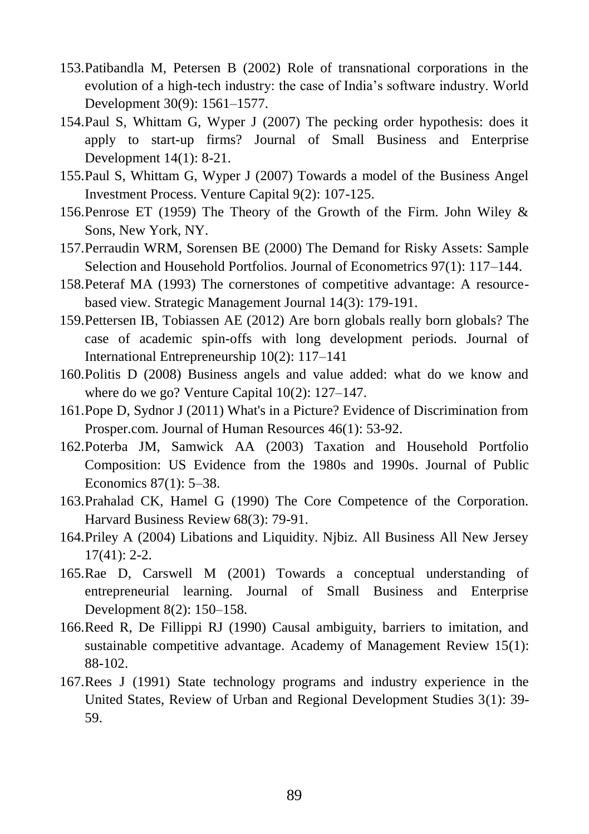- 153.Patibandla M, Petersen B (2002) Role of transnational corporations in the evolution of a high-tech industry: the case of India's software industry. World Development 30(9): 1561–1577.
- 154.Paul S, Whittam G, Wyper J (2007) The pecking order hypothesis: does it apply to start-up firms? Journal of Small Business and Enterprise Development 14(1): 8-21.
- 155.Paul S, Whittam G, Wyper J (2007) Towards a model of the Business Angel Investment Process. Venture Capital 9(2): 107-125.
- 156.Penrose ET (1959) The Theory of the Growth of the Firm. John Wiley & Sons, New York, NY.
- 157.Perraudin WRM, Sorensen BE (2000) The Demand for Risky Assets: Sample Selection and Household Portfolios. Journal of Econometrics 97(1): 117–144.
- 158.Peteraf MA (1993) The cornerstones of competitive advantage: A resourcebased view. Strategic Management Journal 14(3): 179-191.
- 159.Pettersen IB, Tobiassen AE (2012) Are born globals really born globals? The case of academic spin-offs with long development periods. Journal of International Entrepreneurship 10(2): 117–141
- 160.Politis D (2008) Business angels and value added: what do we know and where do we go? Venture Capital 10(2): 127–147.
- 161.Pope D, Sydnor J (2011) What's in a Picture? Evidence of Discrimination from Prosper.com. Journal of Human Resources 46(1): 53-92.
- 162.Poterba JM, Samwick AA (2003) Taxation and Household Portfolio Composition: US Evidence from the 1980s and 1990s. Journal of Public Economics 87(1): 5–38.
- 163.Prahalad CK, Hamel G (1990) The Core Competence of the Corporation. Harvard Business Review 68(3): 79-91.
- 164.Priley A (2004) Libations and Liquidity. Njbiz. All Business All New Jersey 17(41): 2-2.
- 165.Rae D, Carswell M (2001) Towards a conceptual understanding of entrepreneurial learning. Journal of Small Business and Enterprise Development 8(2): 150–158.
- 166.Reed R, De Fillippi RJ (1990) Causal ambiguity, barriers to imitation, and sustainable competitive advantage. Academy of Management Review 15(1): 88-102.
- 167.Rees J (1991) State technology programs and industry experience in the United States, Review of Urban and Regional Development Studies 3(1): 39- 59.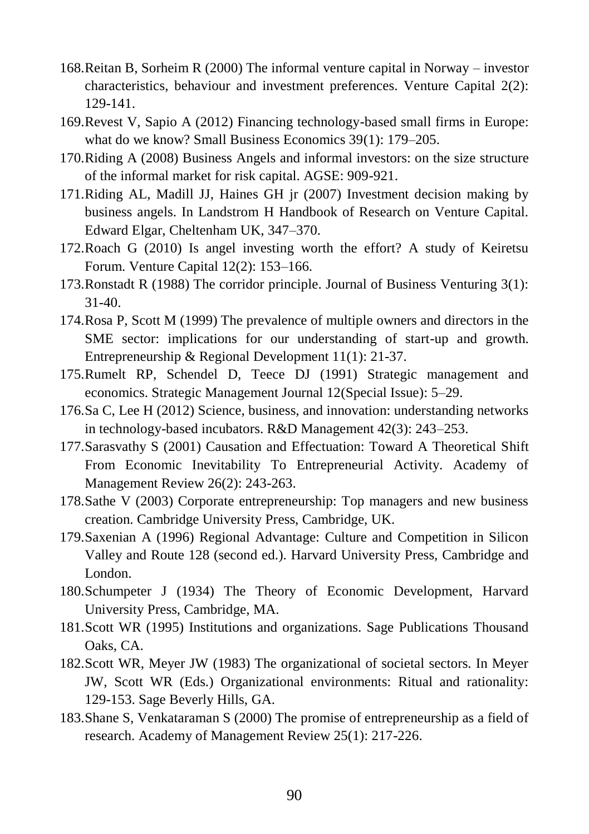- 168.Reitan B, Sorheim R (2000) The informal venture capital in Norway investor characteristics, behaviour and investment preferences. Venture Capital 2(2): 129-141.
- 169.Revest V, Sapio A (2012) Financing technology-based small firms in Europe: what do we know? Small Business Economics 39(1): 179–205.
- 170.Riding A (2008) Business Angels and informal investors: on the size structure of the informal market for risk capital. AGSE: 909-921.
- 171.Riding AL, Madill JJ, Haines GH jr (2007) Investment decision making by business angels. In Landstrom H Handbook of Research on Venture Capital. Edward Elgar, Cheltenham UK, 347–370.
- 172.Roach G (2010) Is angel investing worth the effort? A study of Keiretsu Forum. Venture Capital 12(2): 153–166.
- 173.Ronstadt R (1988) The corridor principle. Journal of Business Venturing 3(1): 31-40.
- 174.Rosa P, Scott M (1999) The prevalence of multiple owners and directors in the SME sector: implications for our understanding of start-up and growth. Entrepreneurship & Regional Development 11(1): 21-37.
- 175.Rumelt RP, Schendel D, Teece DJ (1991) Strategic management and economics. Strategic Management Journal 12(Special Issue): 5–29.
- 176.Sa C, Lee H (2012) Science, business, and innovation: understanding networks in technology-based incubators. R&D Management 42(3): 243–253.
- 177.Sarasvathy S (2001) Causation and Effectuation: Toward A Theoretical Shift From Economic Inevitability To Entrepreneurial Activity. Academy of Management Review 26(2): 243-263.
- 178.Sathe V (2003) Corporate entrepreneurship: Top managers and new business creation. Cambridge University Press, Cambridge, UK.
- 179.Saxenian A (1996) Regional Advantage: Culture and Competition in Silicon Valley and Route 128 (second ed.). Harvard University Press, Cambridge and London.
- 180.Schumpeter J (1934) The Theory of Economic Development, Harvard University Press, Cambridge, MA.
- 181.Scott WR (1995) Institutions and organizations. Sage Publications Thousand Oaks, CA.
- 182.Scott WR, Meyer JW (1983) The organizational of societal sectors. In Meyer JW, Scott WR (Eds.) Organizational environments: Ritual and rationality: 129-153. Sage Beverly Hills, GA.
- 183.Shane S, Venkataraman S (2000) The promise of entrepreneurship as a field of research. Academy of Management Review 25(1): 217-226.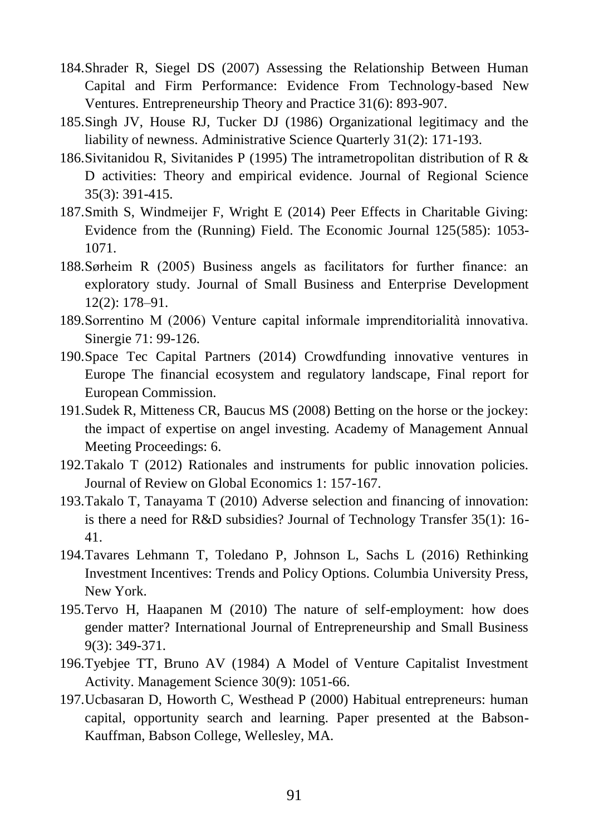- 184.Shrader R, Siegel DS (2007) Assessing the Relationship Between Human Capital and Firm Performance: Evidence From Technology-based New Ventures. Entrepreneurship Theory and Practice 31(6): 893-907.
- 185.Singh JV, House RJ, Tucker DJ (1986) Organizational legitimacy and the liability of newness. Administrative Science Quarterly 31(2): 171-193.
- 186.Sivitanidou R, Sivitanides P (1995) The intrametropolitan distribution of R & D activities: Theory and empirical evidence. Journal of Regional Science 35(3): 391-415.
- 187.Smith S, Windmeijer F, Wright E (2014) Peer Effects in Charitable Giving: Evidence from the (Running) Field. The Economic Journal 125(585): 1053- 1071.
- 188.Sørheim R (2005) Business angels as facilitators for further finance: an exploratory study. Journal of Small Business and Enterprise Development 12(2): 178–91.
- 189.Sorrentino M (2006) Venture capital informale imprenditorialità innovativa. Sinergie 71: 99-126.
- 190.Space Tec Capital Partners (2014) Crowdfunding innovative ventures in Europe The financial ecosystem and regulatory landscape, Final report for European Commission.
- 191.Sudek R, Mitteness CR, Baucus MS (2008) Betting on the horse or the jockey: the impact of expertise on angel investing. Academy of Management Annual Meeting Proceedings: 6.
- 192.Takalo T (2012) Rationales and instruments for public innovation policies. Journal of Review on Global Economics 1: 157-167.
- 193.Takalo T, Tanayama T (2010) Adverse selection and financing of innovation: is there a need for R&D subsidies? Journal of Technology Transfer 35(1): 16- 41.
- 194.Tavares Lehmann T, Toledano P, Johnson L, Sachs L (2016) Rethinking Investment Incentives: Trends and Policy Options. Columbia University Press, New York.
- 195.Tervo H, Haapanen M (2010) The nature of self-employment: how does gender matter? International Journal of Entrepreneurship and Small Business 9(3): 349-371.
- 196.Tyebjee TT, Bruno AV (1984) A Model of Venture Capitalist Investment Activity. Management Science 30(9): 1051-66.
- 197.Ucbasaran D, Howorth C, Westhead P (2000) Habitual entrepreneurs: human capital, opportunity search and learning. Paper presented at the Babson-Kauffman, Babson College, Wellesley, MA.